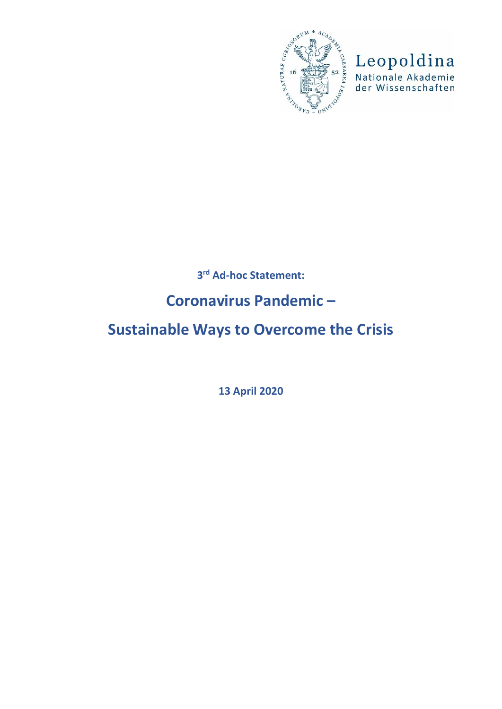

Leopoldina<br>Nationale Akademie<br>der Wissenschaften

## **3 rd Ad-hoc Statement:**

## **Coronavirus Pandemic –**

# **Sustainable Ways to Overcome the Crisis**

**13 April 2020**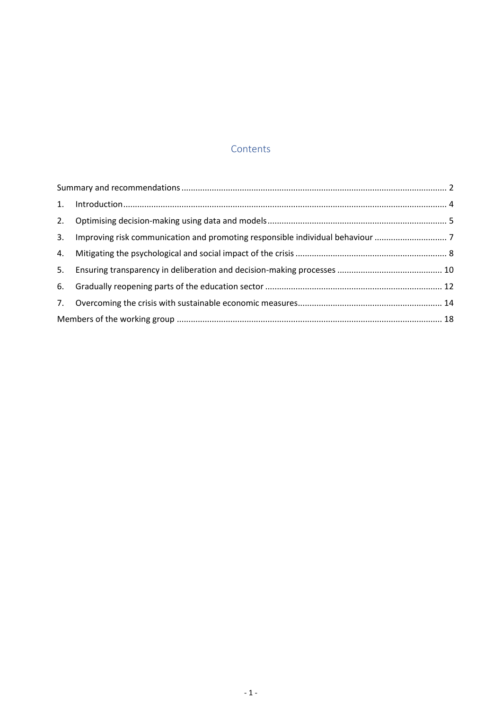## Contents

| 3. Improving risk communication and promoting responsible individual behaviour |  |
|--------------------------------------------------------------------------------|--|
|                                                                                |  |
|                                                                                |  |
|                                                                                |  |
|                                                                                |  |
|                                                                                |  |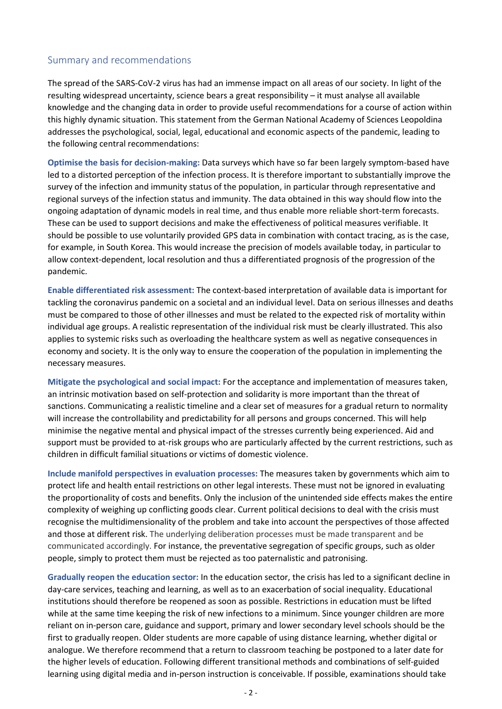#### <span id="page-2-0"></span>Summary and recommendations

The spread of the SARS-CoV-2 virus has had an immense impact on all areas of our society. In light of the resulting widespread uncertainty, science bears a great responsibility – it must analyse all available knowledge and the changing data in order to provide useful recommendations for a course of action within this highly dynamic situation. This statement from the German National Academy of Sciences Leopoldina addresses the psychological, social, legal, educational and economic aspects of the pandemic, leading to the following central recommendations:

**Optimise the basis for decision-making:** Data surveys which have so far been largely symptom-based have led to a distorted perception of the infection process. It is therefore important to substantially improve the survey of the infection and immunity status of the population, in particular through representative and regional surveys of the infection status and immunity. The data obtained in this way should flow into the ongoing adaptation of dynamic models in real time, and thus enable more reliable short-term forecasts. These can be used to support decisions and make the effectiveness of political measures verifiable. It should be possible to use voluntarily provided GPS data in combination with contact tracing, as is the case, for example, in South Korea. This would increase the precision of models available today, in particular to allow context-dependent, local resolution and thus a differentiated prognosis of the progression of the pandemic.

**Enable differentiated risk assessment:** The context-based interpretation of available data is important for tackling the coronavirus pandemic on a societal and an individual level. Data on serious illnesses and deaths must be compared to those of other illnesses and must be related to the expected risk of mortality within individual age groups. A realistic representation of the individual risk must be clearly illustrated. This also applies to systemic risks such as overloading the healthcare system as well as negative consequences in economy and society. It is the only way to ensure the cooperation of the population in implementing the necessary measures.

**Mitigate the psychological and social impact:** For the acceptance and implementation of measures taken, an intrinsic motivation based on self-protection and solidarity is more important than the threat of sanctions. Communicating a realistic timeline and a clear set of measures for a gradual return to normality will increase the controllability and predictability for all persons and groups concerned. This will help minimise the negative mental and physical impact of the stresses currently being experienced. Aid and support must be provided to at-risk groups who are particularly affected by the current restrictions, such as children in difficult familial situations or victims of domestic violence.

**Include manifold perspectives in evaluation processes:** The measures taken by governments which aim to protect life and health entail restrictions on other legal interests. These must not be ignored in evaluating the proportionality of costs and benefits. Only the inclusion of the unintended side effects makes the entire complexity of weighing up conflicting goods clear. Current political decisions to deal with the crisis must recognise the multidimensionality of the problem and take into account the perspectives of those affected and those at different risk. The underlying deliberation processes must be made transparent and be communicated accordingly. For instance, the preventative segregation of specific groups, such as older people, simply to protect them must be rejected as too paternalistic and patronising.

**Gradually reopen the education sector:** In the education sector, the crisis has led to a significant decline in day-care services, teaching and learning, as well as to an exacerbation of social inequality. Educational institutions should therefore be reopened as soon as possible. Restrictions in education must be lifted while at the same time keeping the risk of new infections to a minimum. Since younger children are more reliant on in-person care, guidance and support, primary and lower secondary level schools should be the first to gradually reopen. Older students are more capable of using distance learning, whether digital or analogue. We therefore recommend that a return to classroom teaching be postponed to a later date for the higher levels of education. Following different transitional methods and combinations of self-guided learning using digital media and in-person instruction is conceivable. If possible, examinations should take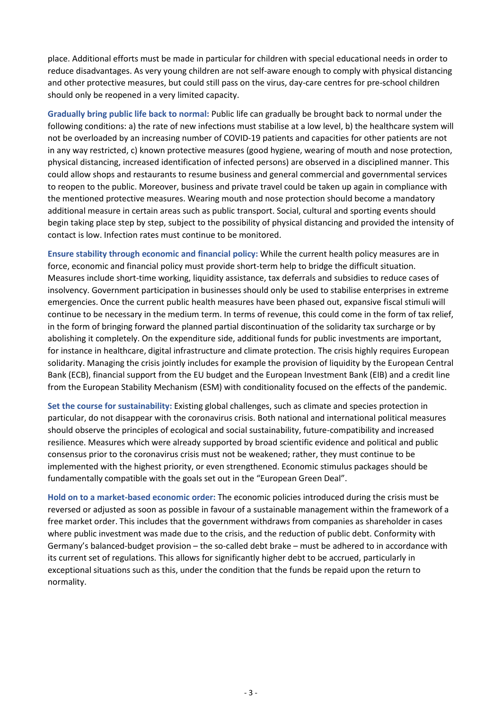place. Additional efforts must be made in particular for children with special educational needs in order to reduce disadvantages. As very young children are not self-aware enough to comply with physical distancing and other protective measures, but could still pass on the virus, day-care centres for pre-school children should only be reopened in a very limited capacity.

**Gradually bring public life back to normal:** Public life can gradually be brought back to normal under the following conditions: a) the rate of new infections must stabilise at a low level, b) the healthcare system will not be overloaded by an increasing number of COVID-19 patients and capacities for other patients are not in any way restricted, c) known protective measures (good hygiene, wearing of mouth and nose protection, physical distancing, increased identification of infected persons) are observed in a disciplined manner. This could allow shops and restaurants to resume business and general commercial and governmental services to reopen to the public. Moreover, business and private travel could be taken up again in compliance with the mentioned protective measures. Wearing mouth and nose protection should become a mandatory additional measure in certain areas such as public transport. Social, cultural and sporting events should begin taking place step by step, subject to the possibility of physical distancing and provided the intensity of contact is low. Infection rates must continue to be monitored.

**Ensure stability through economic and financial policy:** While the current health policy measures are in force, economic and financial policy must provide short-term help to bridge the difficult situation. Measures include short-time working, liquidity assistance, tax deferrals and subsidies to reduce cases of insolvency. Government participation in businesses should only be used to stabilise enterprises in extreme emergencies. Once the current public health measures have been phased out, expansive fiscal stimuli will continue to be necessary in the medium term. In terms of revenue, this could come in the form of tax relief, in the form of bringing forward the planned partial discontinuation of the solidarity tax surcharge or by abolishing it completely. On the expenditure side, additional funds for public investments are important, for instance in healthcare, digital infrastructure and climate protection. The crisis highly requires European solidarity. Managing the crisis jointly includes for example the provision of liquidity by the European Central Bank (ECB), financial support from the EU budget and the European Investment Bank (EIB) and a credit line from the European Stability Mechanism (ESM) with conditionality focused on the effects of the pandemic.

**Set the course for sustainability:** Existing global challenges, such as climate and species protection in particular, do not disappear with the coronavirus crisis. Both national and international political measures should observe the principles of ecological and social sustainability, future-compatibility and increased resilience. Measures which were already supported by broad scientific evidence and political and public consensus prior to the coronavirus crisis must not be weakened; rather, they must continue to be implemented with the highest priority, or even strengthened. Economic stimulus packages should be fundamentally compatible with the goals set out in the "European Green Deal".

**Hold on to a market-based economic order:** The economic policies introduced during the crisis must be reversed or adjusted as soon as possible in favour of a sustainable management within the framework of a free market order. This includes that the government withdraws from companies as shareholder in cases where public investment was made due to the crisis, and the reduction of public debt. Conformity with Germany's balanced-budget provision – the so-called debt brake – must be adhered to in accordance with its current set of regulations. This allows for significantly higher debt to be accrued, particularly in exceptional situations such as this, under the condition that the funds be repaid upon the return to normality.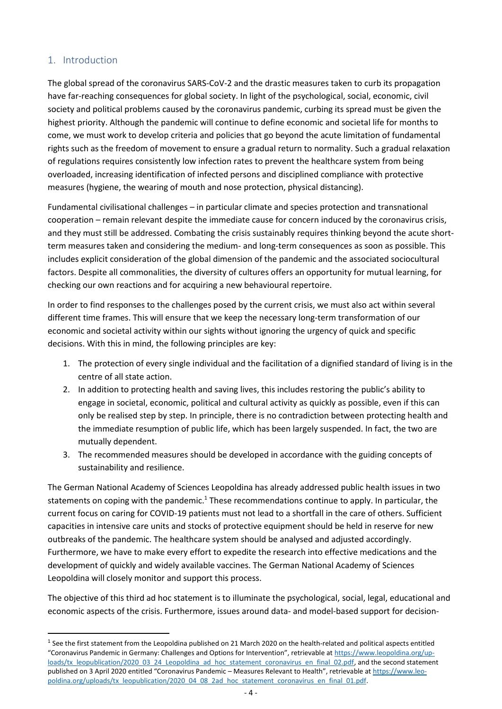## <span id="page-4-0"></span>1. Introduction

1

The global spread of the coronavirus SARS-CoV-2 and the drastic measures taken to curb its propagation have far-reaching consequences for global society. In light of the psychological, social, economic, civil society and political problems caused by the coronavirus pandemic, curbing its spread must be given the highest priority. Although the pandemic will continue to define economic and societal life for months to come, we must work to develop criteria and policies that go beyond the acute limitation of fundamental rights such as the freedom of movement to ensure a gradual return to normality. Such a gradual relaxation of regulations requires consistently low infection rates to prevent the healthcare system from being overloaded, increasing identification of infected persons and disciplined compliance with protective measures (hygiene, the wearing of mouth and nose protection, physical distancing).

Fundamental civilisational challenges – in particular climate and species protection and transnational cooperation – remain relevant despite the immediate cause for concern induced by the coronavirus crisis, and they must still be addressed. Combating the crisis sustainably requires thinking beyond the acute shortterm measures taken and considering the medium- and long-term consequences as soon as possible. This includes explicit consideration of the global dimension of the pandemic and the associated sociocultural factors. Despite all commonalities, the diversity of cultures offers an opportunity for mutual learning, for checking our own reactions and for acquiring a new behavioural repertoire.

In order to find responses to the challenges posed by the current crisis, we must also act within several different time frames. This will ensure that we keep the necessary long-term transformation of our economic and societal activity within our sights without ignoring the urgency of quick and specific decisions. With this in mind, the following principles are key:

- 1. The protection of every single individual and the facilitation of a dignified standard of living is in the centre of all state action.
- 2. In addition to protecting health and saving lives, this includes restoring the public's ability to engage in societal, economic, political and cultural activity as quickly as possible, even if this can only be realised step by step. In principle, there is no contradiction between protecting health and the immediate resumption of public life, which has been largely suspended. In fact, the two are mutually dependent.
- 3. The recommended measures should be developed in accordance with the guiding concepts of sustainability and resilience.

The German National Academy of Sciences Leopoldina has already addressed public health issues in two statements on coping with the pandemic.<sup>1</sup> These recommendations continue to apply. In particular, the current focus on caring for COVID-19 patients must not lead to a shortfall in the care of others. Sufficient capacities in intensive care units and stocks of protective equipment should be held in reserve for new outbreaks of the pandemic. The healthcare system should be analysed and adjusted accordingly. Furthermore, we have to make every effort to expedite the research into effective medications and the development of quickly and widely available vaccines. The German National Academy of Sciences Leopoldina will closely monitor and support this process.

The objective of this third ad hoc statement is to illuminate the psychological, social, legal, educational and economic aspects of the crisis. Furthermore, issues around data- and model-based support for decision-

 $<sup>1</sup>$  See the first statement from the Leopoldina published on 21 March 2020 on the health-related and political aspects entitled</sup> "Coronavirus Pandemic in Germany: Challenges and Options for Intervention", retrievable at [https://www.leopoldina.org/up](https://www.leopoldina.org/uploads/tx_leopublication/2020_03_24_Leopoldina_ad_hoc_statement_coronavirus_en_final_02.pdf)[loads/tx\\_leopublication/2020\\_03\\_24\\_Leopoldina\\_ad\\_hoc\\_statement\\_coronavirus\\_en\\_final\\_02.pdf,](https://www.leopoldina.org/uploads/tx_leopublication/2020_03_24_Leopoldina_ad_hoc_statement_coronavirus_en_final_02.pdf) and the second statement published on 3 April 2020 entitled "Coronavirus Pandemic – Measures Relevant to Health", retrievable at [https://www.leo](https://www.leopoldina.org/uploads/tx_leopublication/2020_04_08_2ad_hoc_statement_coronavirus_en_final_01.pdf)[poldina.org/uploads/tx\\_leopublication/2020\\_04\\_08\\_2ad\\_hoc\\_statement\\_coronavirus\\_en\\_final\\_01.pdf.](https://www.leopoldina.org/uploads/tx_leopublication/2020_04_08_2ad_hoc_statement_coronavirus_en_final_01.pdf)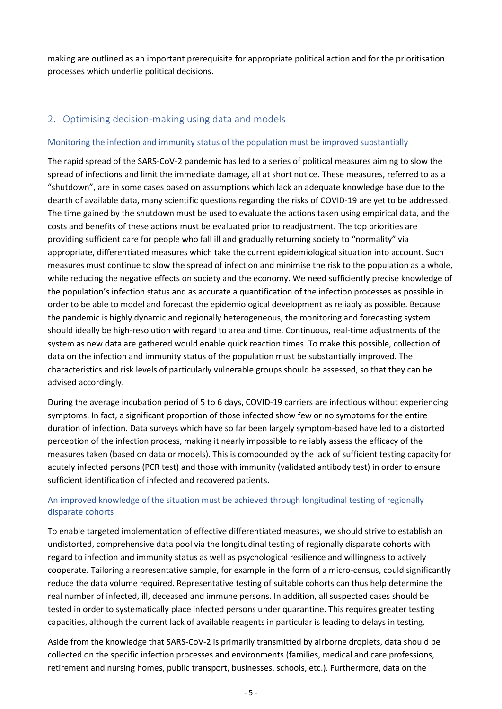making are outlined as an important prerequisite for appropriate political action and for the prioritisation processes which underlie political decisions.

## <span id="page-5-0"></span>2. Optimising decision-making using data and models

#### Monitoring the infection and immunity status of the population must be improved substantially

The rapid spread of the SARS-CoV-2 pandemic has led to a series of political measures aiming to slow the spread of infections and limit the immediate damage, all at short notice. These measures, referred to as a "shutdown", are in some cases based on assumptions which lack an adequate knowledge base due to the dearth of available data, many scientific questions regarding the risks of COVID-19 are yet to be addressed. The time gained by the shutdown must be used to evaluate the actions taken using empirical data, and the costs and benefits of these actions must be evaluated prior to readjustment. The top priorities are providing sufficient care for people who fall ill and gradually returning society to "normality" via appropriate, differentiated measures which take the current epidemiological situation into account. Such measures must continue to slow the spread of infection and minimise the risk to the population as a whole, while reducing the negative effects on society and the economy. We need sufficiently precise knowledge of the population's infection status and as accurate a quantification of the infection processes as possible in order to be able to model and forecast the epidemiological development as reliably as possible. Because the pandemic is highly dynamic and regionally heterogeneous, the monitoring and forecasting system should ideally be high-resolution with regard to area and time. Continuous, real-time adjustments of the system as new data are gathered would enable quick reaction times. To make this possible, collection of data on the infection and immunity status of the population must be substantially improved. The characteristics and risk levels of particularly vulnerable groups should be assessed, so that they can be advised accordingly.

During the average incubation period of 5 to 6 days, COVID-19 carriers are infectious without experiencing symptoms. In fact, a significant proportion of those infected show few or no symptoms for the entire duration of infection. Data surveys which have so far been largely symptom-based have led to a distorted perception of the infection process, making it nearly impossible to reliably assess the efficacy of the measures taken (based on data or models). This is compounded by the lack of sufficient testing capacity for acutely infected persons (PCR test) and those with immunity (validated antibody test) in order to ensure sufficient identification of infected and recovered patients.

## An improved knowledge of the situation must be achieved through longitudinal testing of regionally disparate cohorts

To enable targeted implementation of effective differentiated measures, we should strive to establish an undistorted, comprehensive data pool via the longitudinal testing of regionally disparate cohorts with regard to infection and immunity status as well as psychological resilience and willingness to actively cooperate. Tailoring a representative sample, for example in the form of a micro-census, could significantly reduce the data volume required. Representative testing of suitable cohorts can thus help determine the real number of infected, ill, deceased and immune persons. In addition, all suspected cases should be tested in order to systematically place infected persons under quarantine. This requires greater testing capacities, although the current lack of available reagents in particular is leading to delays in testing.

Aside from the knowledge that SARS-CoV-2 is primarily transmitted by airborne droplets, data should be collected on the specific infection processes and environments (families, medical and care professions, retirement and nursing homes, public transport, businesses, schools, etc.). Furthermore, data on the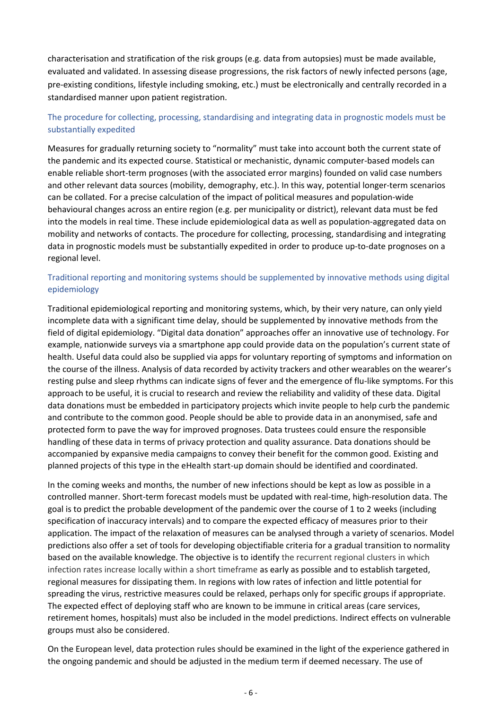characterisation and stratification of the risk groups (e.g. data from autopsies) must be made available, evaluated and validated. In assessing disease progressions, the risk factors of newly infected persons (age, pre-existing conditions, lifestyle including smoking, etc.) must be electronically and centrally recorded in a standardised manner upon patient registration.

### The procedure for collecting, processing, standardising and integrating data in prognostic models must be substantially expedited

Measures for gradually returning society to "normality" must take into account both the current state of the pandemic and its expected course. Statistical or mechanistic, dynamic computer-based models can enable reliable short-term prognoses (with the associated error margins) founded on valid case numbers and other relevant data sources (mobility, demography, etc.). In this way, potential longer-term scenarios can be collated. For a precise calculation of the impact of political measures and population-wide behavioural changes across an entire region (e.g. per municipality or district), relevant data must be fed into the models in real time. These include epidemiological data as well as population-aggregated data on mobility and networks of contacts. The procedure for collecting, processing, standardising and integrating data in prognostic models must be substantially expedited in order to produce up-to-date prognoses on a regional level.

### Traditional reporting and monitoring systems should be supplemented by innovative methods using digital epidemiology

Traditional epidemiological reporting and monitoring systems, which, by their very nature, can only yield incomplete data with a significant time delay, should be supplemented by innovative methods from the field of digital epidemiology. "Digital data donation" approaches offer an innovative use of technology. For example, nationwide surveys via a smartphone app could provide data on the population's current state of health. Useful data could also be supplied via apps for voluntary reporting of symptoms and information on the course of the illness. Analysis of data recorded by activity trackers and other wearables on the wearer's resting pulse and sleep rhythms can indicate signs of fever and the emergence of flu-like symptoms. For this approach to be useful, it is crucial to research and review the reliability and validity of these data. Digital data donations must be embedded in participatory projects which invite people to help curb the pandemic and contribute to the common good. People should be able to provide data in an anonymised, safe and protected form to pave the way for improved prognoses. Data trustees could ensure the responsible handling of these data in terms of privacy protection and quality assurance. Data donations should be accompanied by expansive media campaigns to convey their benefit for the common good. Existing and planned projects of this type in the eHealth start-up domain should be identified and coordinated.

In the coming weeks and months, the number of new infections should be kept as low as possible in a controlled manner. Short-term forecast models must be updated with real-time, high-resolution data. The goal is to predict the probable development of the pandemic over the course of 1 to 2 weeks (including specification of inaccuracy intervals) and to compare the expected efficacy of measures prior to their application. The impact of the relaxation of measures can be analysed through a variety of scenarios. Model predictions also offer a set of tools for developing objectifiable criteria for a gradual transition to normality based on the available knowledge. The objective is to identify the recurrent regional clusters in which infection rates increase locally within a short timeframe as early as possible and to establish targeted, regional measures for dissipating them. In regions with low rates of infection and little potential for spreading the virus, restrictive measures could be relaxed, perhaps only for specific groups if appropriate. The expected effect of deploying staff who are known to be immune in critical areas (care services, retirement homes, hospitals) must also be included in the model predictions. Indirect effects on vulnerable groups must also be considered.

On the European level, data protection rules should be examined in the light of the experience gathered in the ongoing pandemic and should be adjusted in the medium term if deemed necessary. The use of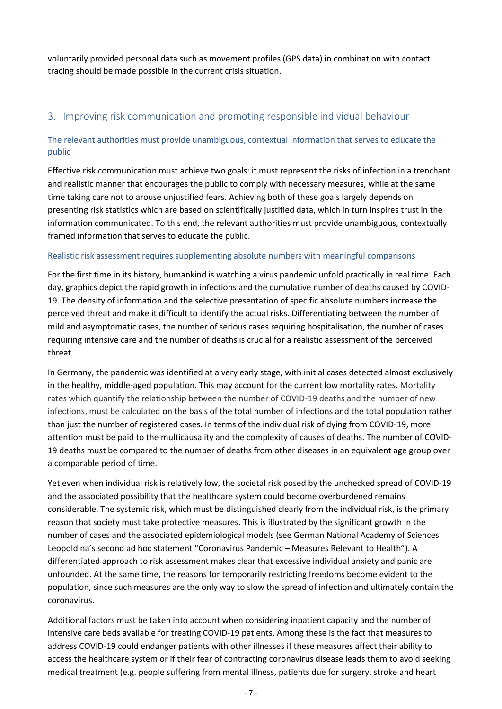voluntarily provided personal data such as movement profiles (GPS data) in combination with contact tracing should be made possible in the current crisis situation.

## <span id="page-7-0"></span>3. Improving risk communication and promoting responsible individual behaviour

### The relevant authorities must provide unambiguous, contextual information that serves to educate the public

Effective risk communication must achieve two goals: it must represent the risks of infection in a trenchant and realistic manner that encourages the public to comply with necessary measures, while at the same time taking care not to arouse unjustified fears. Achieving both of these goals largely depends on presenting risk statistics which are based on scientifically justified data, which in turn inspires trust in the information communicated. To this end, the relevant authorities must provide unambiguous, contextually framed information that serves to educate the public.

#### Realistic risk assessment requires supplementing absolute numbers with meaningful comparisons

For the first time in its history, humankind is watching a virus pandemic unfold practically in real time. Each day, graphics depict the rapid growth in infections and the cumulative number of deaths caused by COVID-19. The density of information and the selective presentation of specific absolute numbers increase the perceived threat and make it difficult to identify the actual risks. Differentiating between the number of mild and asymptomatic cases, the number of serious cases requiring hospitalisation, the number of cases requiring intensive care and the number of deaths is crucial for a realistic assessment of the perceived threat.

In Germany, the pandemic was identified at a very early stage, with initial cases detected almost exclusively in the healthy, middle-aged population. This may account for the current low mortality rates. Mortality rates which quantify the relationship between the number of COVID-19 deaths and the number of new infections, must be calculated on the basis of the total number of infections and the total population rather than just the number of registered cases. In terms of the individual risk of dying from COVID-19, more attention must be paid to the multicausality and the complexity of causes of deaths. The number of COVID-19 deaths must be compared to the number of deaths from other diseases in an equivalent age group over a comparable period of time.

Yet even when individual risk is relatively low, the societal risk posed by the unchecked spread of COVID-19 and the associated possibility that the healthcare system could become overburdened remains considerable. The systemic risk, which must be distinguished clearly from the individual risk, is the primary reason that society must take protective measures. This is illustrated by the significant growth in the number of cases and the associated epidemiological models (see German National Academy of Sciences Leopoldina's second ad hoc statement "Coronavirus Pandemic – Measures Relevant to Health"). A differentiated approach to risk assessment makes clear that excessive individual anxiety and panic are unfounded. At the same time, the reasons for temporarily restricting freedoms become evident to the population, since such measures are the only way to slow the spread of infection and ultimately contain the coronavirus.

Additional factors must be taken into account when considering inpatient capacity and the number of intensive care beds available for treating COVID-19 patients. Among these is the fact that measures to address COVID-19 could endanger patients with other illnesses if these measures affect their ability to access the healthcare system or if their fear of contracting coronavirus disease leads them to avoid seeking medical treatment (e.g. people suffering from mental illness, patients due for surgery, stroke and heart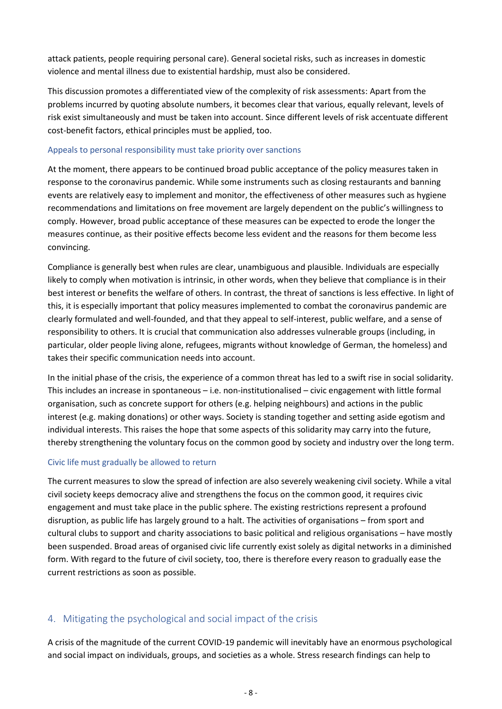attack patients, people requiring personal care). General societal risks, such as increases in domestic violence and mental illness due to existential hardship, must also be considered.

This discussion promotes a differentiated view of the complexity of risk assessments: Apart from the problems incurred by quoting absolute numbers, it becomes clear that various, equally relevant, levels of risk exist simultaneously and must be taken into account. Since different levels of risk accentuate different cost-benefit factors, ethical principles must be applied, too.

#### Appeals to personal responsibility must take priority over sanctions

At the moment, there appears to be continued broad public acceptance of the policy measures taken in response to the coronavirus pandemic. While some instruments such as closing restaurants and banning events are relatively easy to implement and monitor, the effectiveness of other measures such as hygiene recommendations and limitations on free movement are largely dependent on the public's willingness to comply. However, broad public acceptance of these measures can be expected to erode the longer the measures continue, as their positive effects become less evident and the reasons for them become less convincing.

Compliance is generally best when rules are clear, unambiguous and plausible. Individuals are especially likely to comply when motivation is intrinsic, in other words, when they believe that compliance is in their best interest or benefits the welfare of others. In contrast, the threat of sanctions is less effective. In light of this, it is especially important that policy measures implemented to combat the coronavirus pandemic are clearly formulated and well-founded, and that they appeal to self-interest, public welfare, and a sense of responsibility to others. It is crucial that communication also addresses vulnerable groups (including, in particular, older people living alone, refugees, migrants without knowledge of German, the homeless) and takes their specific communication needs into account.

In the initial phase of the crisis, the experience of a common threat has led to a swift rise in social solidarity. This includes an increase in spontaneous – i.e. non-institutionalised – civic engagement with little formal organisation, such as concrete support for others (e.g. helping neighbours) and actions in the public interest (e.g. making donations) or other ways. Society is standing together and setting aside egotism and individual interests. This raises the hope that some aspects of this solidarity may carry into the future, thereby strengthening the voluntary focus on the common good by society and industry over the long term.

#### Civic life must gradually be allowed to return

The current measures to slow the spread of infection are also severely weakening civil society. While a vital civil society keeps democracy alive and strengthens the focus on the common good, it requires civic engagement and must take place in the public sphere. The existing restrictions represent a profound disruption, as public life has largely ground to a halt. The activities of organisations – from sport and cultural clubs to support and charity associations to basic political and religious organisations – have mostly been suspended. Broad areas of organised civic life currently exist solely as digital networks in a diminished form. With regard to the future of civil society, too, there is therefore every reason to gradually ease the current restrictions as soon as possible.

## <span id="page-8-0"></span>4. Mitigating the psychological and social impact of the crisis

A crisis of the magnitude of the current COVID-19 pandemic will inevitably have an enormous psychological and social impact on individuals, groups, and societies as a whole. Stress research findings can help to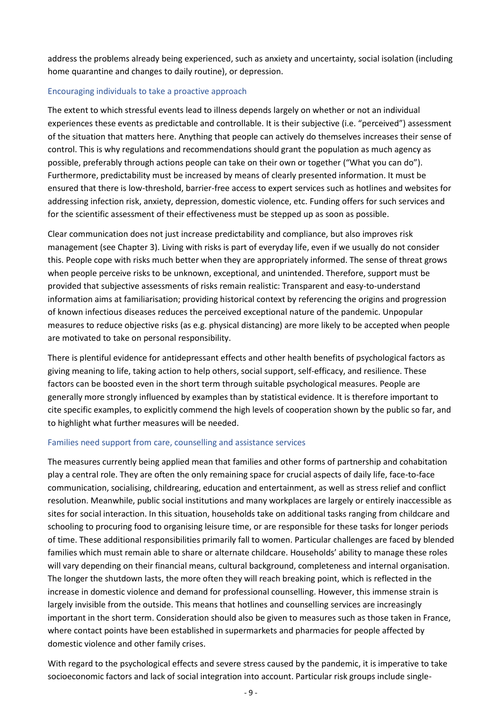address the problems already being experienced, such as anxiety and uncertainty, social isolation (including home quarantine and changes to daily routine), or depression.

#### Encouraging individuals to take a proactive approach

The extent to which stressful events lead to illness depends largely on whether or not an individual experiences these events as predictable and controllable. It is their subjective (i.e. "perceived") assessment of the situation that matters here. Anything that people can actively do themselves increases their sense of control. This is why regulations and recommendations should grant the population as much agency as possible, preferably through actions people can take on their own or together ("What you can do"). Furthermore, predictability must be increased by means of clearly presented information. It must be ensured that there is low-threshold, barrier-free access to expert services such as hotlines and websites for addressing infection risk, anxiety, depression, domestic violence, etc. Funding offers for such services and for the scientific assessment of their effectiveness must be stepped up as soon as possible.

Clear communication does not just increase predictability and compliance, but also improves risk management (see Chapter 3). Living with risks is part of everyday life, even if we usually do not consider this. People cope with risks much better when they are appropriately informed. The sense of threat grows when people perceive risks to be unknown, exceptional, and unintended. Therefore, support must be provided that subjective assessments of risks remain realistic: Transparent and easy-to-understand information aims at familiarisation; providing historical context by referencing the origins and progression of known infectious diseases reduces the perceived exceptional nature of the pandemic. Unpopular measures to reduce objective risks (as e.g. physical distancing) are more likely to be accepted when people are motivated to take on personal responsibility.

There is plentiful evidence for antidepressant effects and other health benefits of psychological factors as giving meaning to life, taking action to help others, social support, self-efficacy, and resilience. These factors can be boosted even in the short term through suitable psychological measures. People are generally more strongly influenced by examples than by statistical evidence. It is therefore important to cite specific examples, to explicitly commend the high levels of cooperation shown by the public so far, and to highlight what further measures will be needed.

#### Families need support from care, counselling and assistance services

The measures currently being applied mean that families and other forms of partnership and cohabitation play a central role. They are often the only remaining space for crucial aspects of daily life, face-to-face communication, socialising, childrearing, education and entertainment, as well as stress relief and conflict resolution. Meanwhile, public social institutions and many workplaces are largely or entirely inaccessible as sites for social interaction. In this situation, households take on additional tasks ranging from childcare and schooling to procuring food to organising leisure time, or are responsible for these tasks for longer periods of time. These additional responsibilities primarily fall to women. Particular challenges are faced by blended families which must remain able to share or alternate childcare. Households' ability to manage these roles will vary depending on their financial means, cultural background, completeness and internal organisation. The longer the shutdown lasts, the more often they will reach breaking point, which is reflected in the increase in domestic violence and demand for professional counselling. However, this immense strain is largely invisible from the outside. This means that hotlines and counselling services are increasingly important in the short term. Consideration should also be given to measures such as those taken in France, where contact points have been established in supermarkets and pharmacies for people affected by domestic violence and other family crises.

With regard to the psychological effects and severe stress caused by the pandemic, it is imperative to take socioeconomic factors and lack of social integration into account. Particular risk groups include single-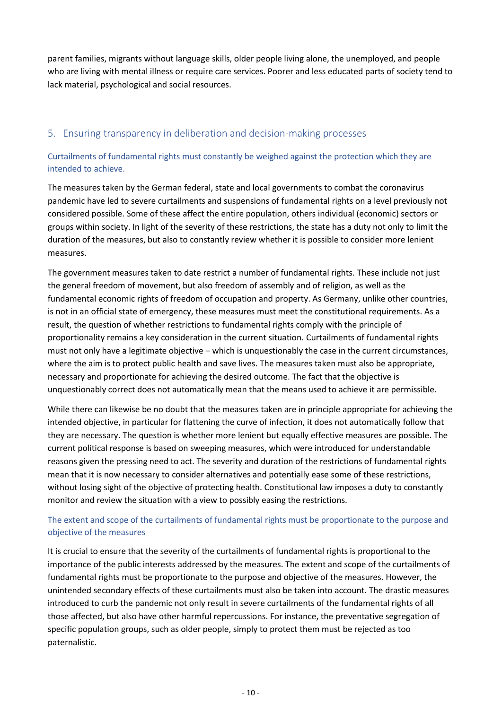parent families, migrants without language skills, older people living alone, the unemployed, and people who are living with mental illness or require care services. Poorer and less educated parts of society tend to lack material, psychological and social resources.

## <span id="page-10-0"></span>5. Ensuring transparency in deliberation and decision-making processes

### Curtailments of fundamental rights must constantly be weighed against the protection which they are intended to achieve.

The measures taken by the German federal, state and local governments to combat the coronavirus pandemic have led to severe curtailments and suspensions of fundamental rights on a level previously not considered possible. Some of these affect the entire population, others individual (economic) sectors or groups within society. In light of the severity of these restrictions, the state has a duty not only to limit the duration of the measures, but also to constantly review whether it is possible to consider more lenient measures.

The government measures taken to date restrict a number of fundamental rights. These include not just the general freedom of movement, but also freedom of assembly and of religion, as well as the fundamental economic rights of freedom of occupation and property. As Germany, unlike other countries, is not in an official state of emergency, these measures must meet the constitutional requirements. As a result, the question of whether restrictions to fundamental rights comply with the principle of proportionality remains a key consideration in the current situation. Curtailments of fundamental rights must not only have a legitimate objective – which is unquestionably the case in the current circumstances, where the aim is to protect public health and save lives. The measures taken must also be appropriate, necessary and proportionate for achieving the desired outcome. The fact that the objective is unquestionably correct does not automatically mean that the means used to achieve it are permissible.

While there can likewise be no doubt that the measures taken are in principle appropriate for achieving the intended objective, in particular for flattening the curve of infection, it does not automatically follow that they are necessary. The question is whether more lenient but equally effective measures are possible. The current political response is based on sweeping measures, which were introduced for understandable reasons given the pressing need to act. The severity and duration of the restrictions of fundamental rights mean that it is now necessary to consider alternatives and potentially ease some of these restrictions, without losing sight of the objective of protecting health. Constitutional law imposes a duty to constantly monitor and review the situation with a view to possibly easing the restrictions.

## The extent and scope of the curtailments of fundamental rights must be proportionate to the purpose and objective of the measures

It is crucial to ensure that the severity of the curtailments of fundamental rights is proportional to the importance of the public interests addressed by the measures. The extent and scope of the curtailments of fundamental rights must be proportionate to the purpose and objective of the measures. However, the unintended secondary effects of these curtailments must also be taken into account. The drastic measures introduced to curb the pandemic not only result in severe curtailments of the fundamental rights of all those affected, but also have other harmful repercussions. For instance, the preventative segregation of specific population groups, such as older people, simply to protect them must be rejected as too paternalistic.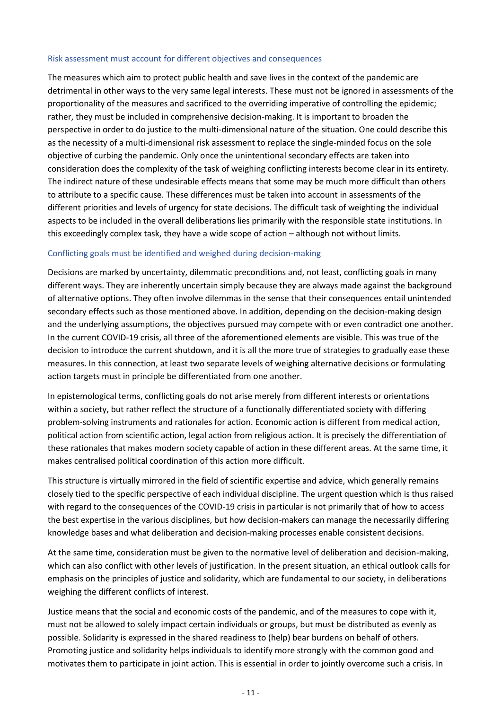#### Risk assessment must account for different objectives and consequences

The measures which aim to protect public health and save lives in the context of the pandemic are detrimental in other ways to the very same legal interests. These must not be ignored in assessments of the proportionality of the measures and sacrificed to the overriding imperative of controlling the epidemic; rather, they must be included in comprehensive decision-making. It is important to broaden the perspective in order to do justice to the multi-dimensional nature of the situation. One could describe this as the necessity of a multi-dimensional risk assessment to replace the single-minded focus on the sole objective of curbing the pandemic. Only once the unintentional secondary effects are taken into consideration does the complexity of the task of weighing conflicting interests become clear in its entirety. The indirect nature of these undesirable effects means that some may be much more difficult than others to attribute to a specific cause. These differences must be taken into account in assessments of the different priorities and levels of urgency for state decisions. The difficult task of weighting the individual aspects to be included in the overall deliberations lies primarily with the responsible state institutions. In this exceedingly complex task, they have a wide scope of action – although not without limits.

#### Conflicting goals must be identified and weighed during decision-making

Decisions are marked by uncertainty, dilemmatic preconditions and, not least, conflicting goals in many different ways. They are inherently uncertain simply because they are always made against the background of alternative options. They often involve dilemmas in the sense that their consequences entail unintended secondary effects such as those mentioned above. In addition, depending on the decision-making design and the underlying assumptions, the objectives pursued may compete with or even contradict one another. In the current COVID-19 crisis, all three of the aforementioned elements are visible. This was true of the decision to introduce the current shutdown, and it is all the more true of strategies to gradually ease these measures. In this connection, at least two separate levels of weighing alternative decisions or formulating action targets must in principle be differentiated from one another.

In epistemological terms, conflicting goals do not arise merely from different interests or orientations within a society, but rather reflect the structure of a functionally differentiated society with differing problem-solving instruments and rationales for action. Economic action is different from medical action, political action from scientific action, legal action from religious action. It is precisely the differentiation of these rationales that makes modern society capable of action in these different areas. At the same time, it makes centralised political coordination of this action more difficult.

This structure is virtually mirrored in the field of scientific expertise and advice, which generally remains closely tied to the specific perspective of each individual discipline. The urgent question which is thus raised with regard to the consequences of the COVID-19 crisis in particular is not primarily that of how to access the best expertise in the various disciplines, but how decision-makers can manage the necessarily differing knowledge bases and what deliberation and decision-making processes enable consistent decisions.

At the same time, consideration must be given to the normative level of deliberation and decision-making, which can also conflict with other levels of justification. In the present situation, an ethical outlook calls for emphasis on the principles of justice and solidarity, which are fundamental to our society, in deliberations weighing the different conflicts of interest.

Justice means that the social and economic costs of the pandemic, and of the measures to cope with it, must not be allowed to solely impact certain individuals or groups, but must be distributed as evenly as possible. Solidarity is expressed in the shared readiness to (help) bear burdens on behalf of others. Promoting justice and solidarity helps individuals to identify more strongly with the common good and motivates them to participate in joint action. This is essential in order to jointly overcome such a crisis. In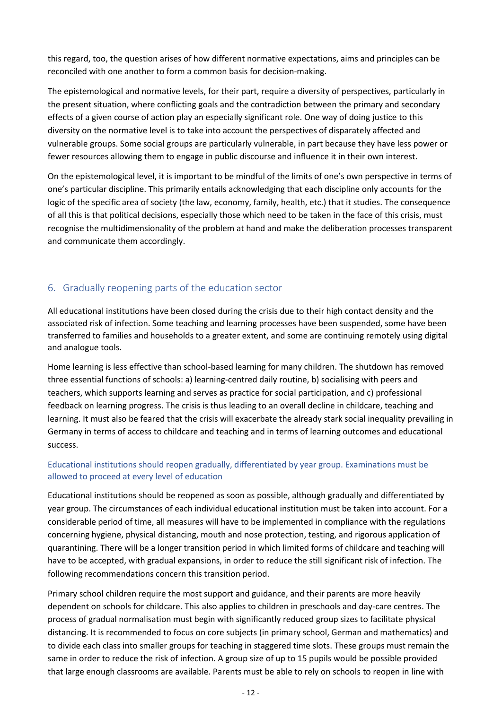this regard, too, the question arises of how different normative expectations, aims and principles can be reconciled with one another to form a common basis for decision-making.

The epistemological and normative levels, for their part, require a diversity of perspectives, particularly in the present situation, where conflicting goals and the contradiction between the primary and secondary effects of a given course of action play an especially significant role. One way of doing justice to this diversity on the normative level is to take into account the perspectives of disparately affected and vulnerable groups. Some social groups are particularly vulnerable, in part because they have less power or fewer resources allowing them to engage in public discourse and influence it in their own interest.

On the epistemological level, it is important to be mindful of the limits of one's own perspective in terms of one's particular discipline. This primarily entails acknowledging that each discipline only accounts for the logic of the specific area of society (the law, economy, family, health, etc.) that it studies. The consequence of all this is that political decisions, especially those which need to be taken in the face of this crisis, must recognise the multidimensionality of the problem at hand and make the deliberation processes transparent and communicate them accordingly.

## <span id="page-12-0"></span>6. Gradually reopening parts of the education sector

All educational institutions have been closed during the crisis due to their high contact density and the associated risk of infection. Some teaching and learning processes have been suspended, some have been transferred to families and households to a greater extent, and some are continuing remotely using digital and analogue tools.

Home learning is less effective than school-based learning for many children. The shutdown has removed three essential functions of schools: a) learning-centred daily routine, b) socialising with peers and teachers, which supports learning and serves as practice for social participation, and c) professional feedback on learning progress. The crisis is thus leading to an overall decline in childcare, teaching and learning. It must also be feared that the crisis will exacerbate the already stark social inequality prevailing in Germany in terms of access to childcare and teaching and in terms of learning outcomes and educational success.

## Educational institutions should reopen gradually, differentiated by year group. Examinations must be allowed to proceed at every level of education

Educational institutions should be reopened as soon as possible, although gradually and differentiated by year group. The circumstances of each individual educational institution must be taken into account. For a considerable period of time, all measures will have to be implemented in compliance with the regulations concerning hygiene, physical distancing, mouth and nose protection, testing, and rigorous application of quarantining. There will be a longer transition period in which limited forms of childcare and teaching will have to be accepted, with gradual expansions, in order to reduce the still significant risk of infection. The following recommendations concern this transition period.

Primary school children require the most support and guidance, and their parents are more heavily dependent on schools for childcare. This also applies to children in preschools and day-care centres. The process of gradual normalisation must begin with significantly reduced group sizes to facilitate physical distancing. It is recommended to focus on core subjects (in primary school, German and mathematics) and to divide each class into smaller groups for teaching in staggered time slots. These groups must remain the same in order to reduce the risk of infection. A group size of up to 15 pupils would be possible provided that large enough classrooms are available. Parents must be able to rely on schools to reopen in line with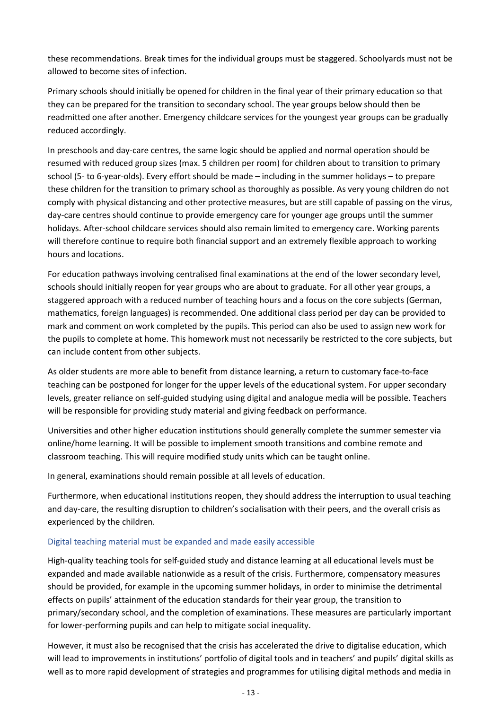these recommendations. Break times for the individual groups must be staggered. Schoolyards must not be allowed to become sites of infection.

Primary schools should initially be opened for children in the final year of their primary education so that they can be prepared for the transition to secondary school. The year groups below should then be readmitted one after another. Emergency childcare services for the youngest year groups can be gradually reduced accordingly.

In preschools and day-care centres, the same logic should be applied and normal operation should be resumed with reduced group sizes (max. 5 children per room) for children about to transition to primary school (5- to 6-year-olds). Every effort should be made – including in the summer holidays – to prepare these children for the transition to primary school as thoroughly as possible. As very young children do not comply with physical distancing and other protective measures, but are still capable of passing on the virus, day-care centres should continue to provide emergency care for younger age groups until the summer holidays. After-school childcare services should also remain limited to emergency care. Working parents will therefore continue to require both financial support and an extremely flexible approach to working hours and locations.

For education pathways involving centralised final examinations at the end of the lower secondary level, schools should initially reopen for year groups who are about to graduate. For all other year groups, a staggered approach with a reduced number of teaching hours and a focus on the core subjects (German, mathematics, foreign languages) is recommended. One additional class period per day can be provided to mark and comment on work completed by the pupils. This period can also be used to assign new work for the pupils to complete at home. This homework must not necessarily be restricted to the core subjects, but can include content from other subjects.

As older students are more able to benefit from distance learning, a return to customary face-to-face teaching can be postponed for longer for the upper levels of the educational system. For upper secondary levels, greater reliance on self-guided studying using digital and analogue media will be possible. Teachers will be responsible for providing study material and giving feedback on performance.

Universities and other higher education institutions should generally complete the summer semester via online/home learning. It will be possible to implement smooth transitions and combine remote and classroom teaching. This will require modified study units which can be taught online.

In general, examinations should remain possible at all levels of education.

Furthermore, when educational institutions reopen, they should address the interruption to usual teaching and day-care, the resulting disruption to children's socialisation with their peers, and the overall crisis as experienced by the children.

#### Digital teaching material must be expanded and made easily accessible

High-quality teaching tools for self-guided study and distance learning at all educational levels must be expanded and made available nationwide as a result of the crisis. Furthermore, compensatory measures should be provided, for example in the upcoming summer holidays, in order to minimise the detrimental effects on pupils' attainment of the education standards for their year group, the transition to primary/secondary school, and the completion of examinations. These measures are particularly important for lower-performing pupils and can help to mitigate social inequality.

However, it must also be recognised that the crisis has accelerated the drive to digitalise education, which will lead to improvements in institutions' portfolio of digital tools and in teachers' and pupils' digital skills as well as to more rapid development of strategies and programmes for utilising digital methods and media in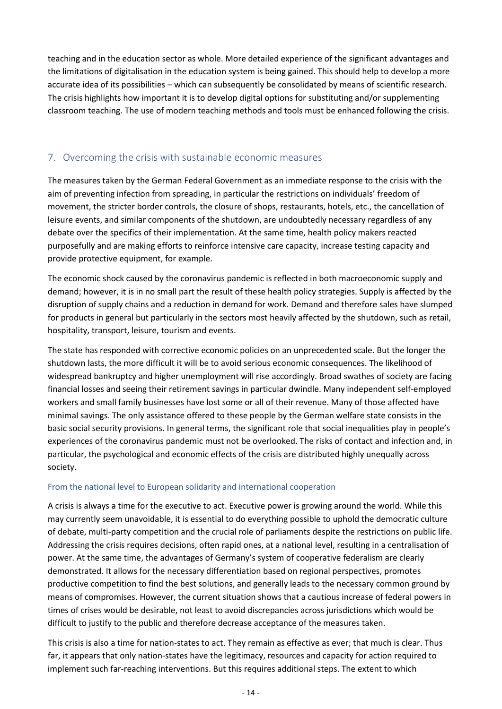teaching and in the education sector as whole. More detailed experience of the significant advantages and the limitations of digitalisation in the education system is being gained. This should help to develop a more accurate idea of its possibilities – which can subsequently be consolidated by means of scientific research. The crisis highlights how important it is to develop digital options for substituting and/or supplementing classroom teaching. The use of modern teaching methods and tools must be enhanced following the crisis.

## <span id="page-14-0"></span>7. Overcoming the crisis with sustainable economic measures

The measures taken by the German Federal Government as an immediate response to the crisis with the aim of preventing infection from spreading, in particular the restrictions on individuals' freedom of movement, the stricter border controls, the closure of shops, restaurants, hotels, etc., the cancellation of leisure events, and similar components of the shutdown, are undoubtedly necessary regardless of any debate over the specifics of their implementation. At the same time, health policy makers reacted purposefully and are making efforts to reinforce intensive care capacity, increase testing capacity and provide protective equipment, for example.

The economic shock caused by the coronavirus pandemic is reflected in both macroeconomic supply and demand; however, it is in no small part the result of these health policy strategies. Supply is affected by the disruption of supply chains and a reduction in demand for work. Demand and therefore sales have slumped for products in general but particularly in the sectors most heavily affected by the shutdown, such as retail, hospitality, transport, leisure, tourism and events.

The state has responded with corrective economic policies on an unprecedented scale. But the longer the shutdown lasts, the more difficult it will be to avoid serious economic consequences. The likelihood of widespread bankruptcy and higher unemployment will rise accordingly. Broad swathes of society are facing financial losses and seeing their retirement savings in particular dwindle. Many independent self-employed workers and small family businesses have lost some or all of their revenue. Many of those affected have minimal savings. The only assistance offered to these people by the German welfare state consists in the basic social security provisions. In general terms, the significant role that social inequalities play in people's experiences of the coronavirus pandemic must not be overlooked. The risks of contact and infection and, in particular, the psychological and economic effects of the crisis are distributed highly unequally across society.

#### From the national level to European solidarity and international cooperation

A crisis is always a time for the executive to act. Executive power is growing around the world. While this may currently seem unavoidable, it is essential to do everything possible to uphold the democratic culture of debate, multi-party competition and the crucial role of parliaments despite the restrictions on public life. Addressing the crisis requires decisions, often rapid ones, at a national level, resulting in a centralisation of power. At the same time, the advantages of Germany's system of cooperative federalism are clearly demonstrated. It allows for the necessary differentiation based on regional perspectives, promotes productive competition to find the best solutions, and generally leads to the necessary common ground by means of compromises. However, the current situation shows that a cautious increase of federal powers in times of crises would be desirable, not least to avoid discrepancies across jurisdictions which would be difficult to justify to the public and therefore decrease acceptance of the measures taken.

This crisis is also a time for nation-states to act. They remain as effective as ever; that much is clear. Thus far, it appears that only nation-states have the legitimacy, resources and capacity for action required to implement such far-reaching interventions. But this requires additional steps. The extent to which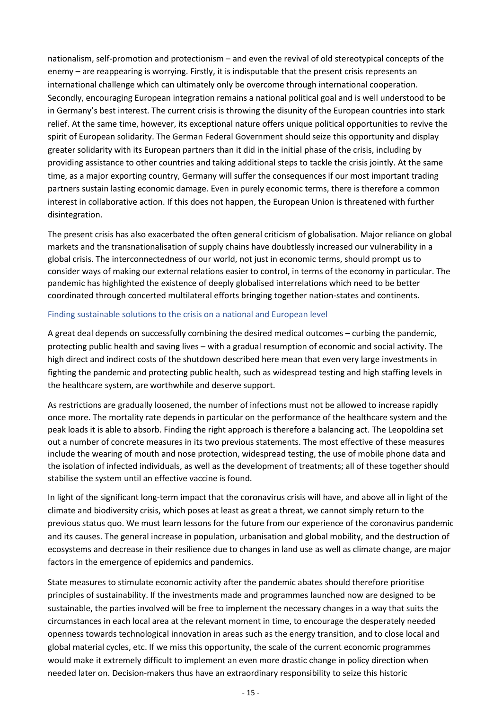nationalism, self-promotion and protectionism – and even the revival of old stereotypical concepts of the enemy – are reappearing is worrying. Firstly, it is indisputable that the present crisis represents an international challenge which can ultimately only be overcome through international cooperation. Secondly, encouraging European integration remains a national political goal and is well understood to be in Germany's best interest. The current crisis is throwing the disunity of the European countries into stark relief. At the same time, however, its exceptional nature offers unique political opportunities to revive the spirit of European solidarity. The German Federal Government should seize this opportunity and display greater solidarity with its European partners than it did in the initial phase of the crisis, including by providing assistance to other countries and taking additional steps to tackle the crisis jointly. At the same time, as a major exporting country, Germany will suffer the consequences if our most important trading partners sustain lasting economic damage. Even in purely economic terms, there is therefore a common interest in collaborative action. If this does not happen, the European Union is threatened with further disintegration.

The present crisis has also exacerbated the often general criticism of globalisation. Major reliance on global markets and the transnationalisation of supply chains have doubtlessly increased our vulnerability in a global crisis. The interconnectedness of our world, not just in economic terms, should prompt us to consider ways of making our external relations easier to control, in terms of the economy in particular. The pandemic has highlighted the existence of deeply globalised interrelations which need to be better coordinated through concerted multilateral efforts bringing together nation-states and continents.

#### Finding sustainable solutions to the crisis on a national and European level

A great deal depends on successfully combining the desired medical outcomes – curbing the pandemic, protecting public health and saving lives – with a gradual resumption of economic and social activity. The high direct and indirect costs of the shutdown described here mean that even very large investments in fighting the pandemic and protecting public health, such as widespread testing and high staffing levels in the healthcare system, are worthwhile and deserve support.

As restrictions are gradually loosened, the number of infections must not be allowed to increase rapidly once more. The mortality rate depends in particular on the performance of the healthcare system and the peak loads it is able to absorb. Finding the right approach is therefore a balancing act. The Leopoldina set out a number of concrete measures in its two previous statements. The most effective of these measures include the wearing of mouth and nose protection, widespread testing, the use of mobile phone data and the isolation of infected individuals, as well as the development of treatments; all of these together should stabilise the system until an effective vaccine is found.

In light of the significant long-term impact that the coronavirus crisis will have, and above all in light of the climate and biodiversity crisis, which poses at least as great a threat, we cannot simply return to the previous status quo. We must learn lessons for the future from our experience of the coronavirus pandemic and its causes. The general increase in population, urbanisation and global mobility, and the destruction of ecosystems and decrease in their resilience due to changes in land use as well as climate change, are major factors in the emergence of epidemics and pandemics.

State measures to stimulate economic activity after the pandemic abates should therefore prioritise principles of sustainability. If the investments made and programmes launched now are designed to be sustainable, the parties involved will be free to implement the necessary changes in a way that suits the circumstances in each local area at the relevant moment in time, to encourage the desperately needed openness towards technological innovation in areas such as the energy transition, and to close local and global material cycles, etc. If we miss this opportunity, the scale of the current economic programmes would make it extremely difficult to implement an even more drastic change in policy direction when needed later on. Decision-makers thus have an extraordinary responsibility to seize this historic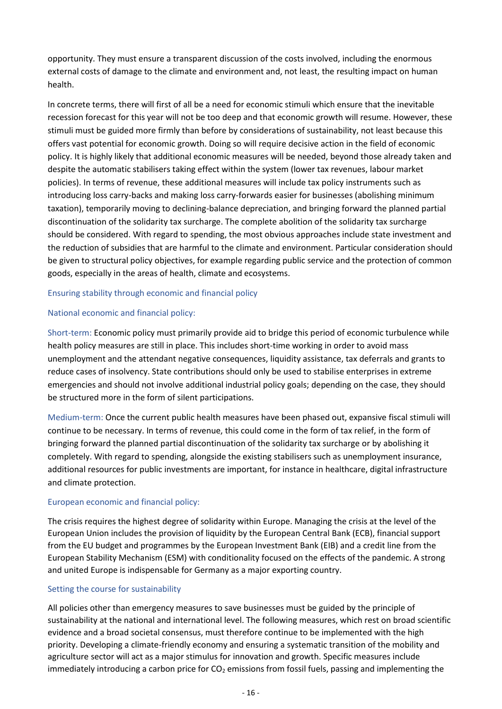opportunity. They must ensure a transparent discussion of the costs involved, including the enormous external costs of damage to the climate and environment and, not least, the resulting impact on human health.

In concrete terms, there will first of all be a need for economic stimuli which ensure that the inevitable recession forecast for this year will not be too deep and that economic growth will resume. However, these stimuli must be guided more firmly than before by considerations of sustainability, not least because this offers vast potential for economic growth. Doing so will require decisive action in the field of economic policy. It is highly likely that additional economic measures will be needed, beyond those already taken and despite the automatic stabilisers taking effect within the system (lower tax revenues, labour market policies). In terms of revenue, these additional measures will include tax policy instruments such as introducing loss carry-backs and making loss carry-forwards easier for businesses (abolishing minimum taxation), temporarily moving to declining-balance depreciation, and bringing forward the planned partial discontinuation of the solidarity tax surcharge. The complete abolition of the solidarity tax surcharge should be considered. With regard to spending, the most obvious approaches include state investment and the reduction of subsidies that are harmful to the climate and environment. Particular consideration should be given to structural policy objectives, for example regarding public service and the protection of common goods, especially in the areas of health, climate and ecosystems.

#### Ensuring stability through economic and financial policy

#### National economic and financial policy:

Short-term: Economic policy must primarily provide aid to bridge this period of economic turbulence while health policy measures are still in place. This includes short-time working in order to avoid mass unemployment and the attendant negative consequences, liquidity assistance, tax deferrals and grants to reduce cases of insolvency. State contributions should only be used to stabilise enterprises in extreme emergencies and should not involve additional industrial policy goals; depending on the case, they should be structured more in the form of silent participations.

Medium-term: Once the current public health measures have been phased out, expansive fiscal stimuli will continue to be necessary. In terms of revenue, this could come in the form of tax relief, in the form of bringing forward the planned partial discontinuation of the solidarity tax surcharge or by abolishing it completely. With regard to spending, alongside the existing stabilisers such as unemployment insurance, additional resources for public investments are important, for instance in healthcare, digital infrastructure and climate protection.

#### European economic and financial policy:

The crisis requires the highest degree of solidarity within Europe. Managing the crisis at the level of the European Union includes the provision of liquidity by the European Central Bank (ECB), financial support from the EU budget and programmes by the European Investment Bank (EIB) and a credit line from the European Stability Mechanism (ESM) with conditionality focused on the effects of the pandemic. A strong and united Europe is indispensable for Germany as a major exporting country.

#### Setting the course for sustainability

All policies other than emergency measures to save businesses must be guided by the principle of sustainability at the national and international level. The following measures, which rest on broad scientific evidence and a broad societal consensus, must therefore continue to be implemented with the high priority. Developing a climate-friendly economy and ensuring a systematic transition of the mobility and agriculture sector will act as a major stimulus for innovation and growth. Specific measures include immediately introducing a carbon price for  $CO<sub>2</sub>$  emissions from fossil fuels, passing and implementing the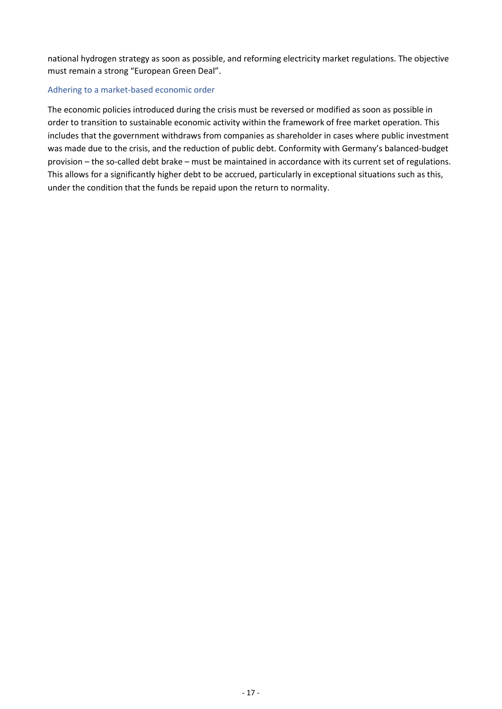national hydrogen strategy as soon as possible, and reforming electricity market regulations. The objective must remain a strong "European Green Deal".

#### Adhering to a market-based economic order

The economic policies introduced during the crisis must be reversed or modified as soon as possible in order to transition to sustainable economic activity within the framework of free market operation. This includes that the government withdraws from companies as shareholder in cases where public investment was made due to the crisis, and the reduction of public debt. Conformity with Germany's balanced-budget provision – the so-called debt brake – must be maintained in accordance with its current set of regulations. This allows for a significantly higher debt to be accrued, particularly in exceptional situations such as this, under the condition that the funds be repaid upon the return to normality.